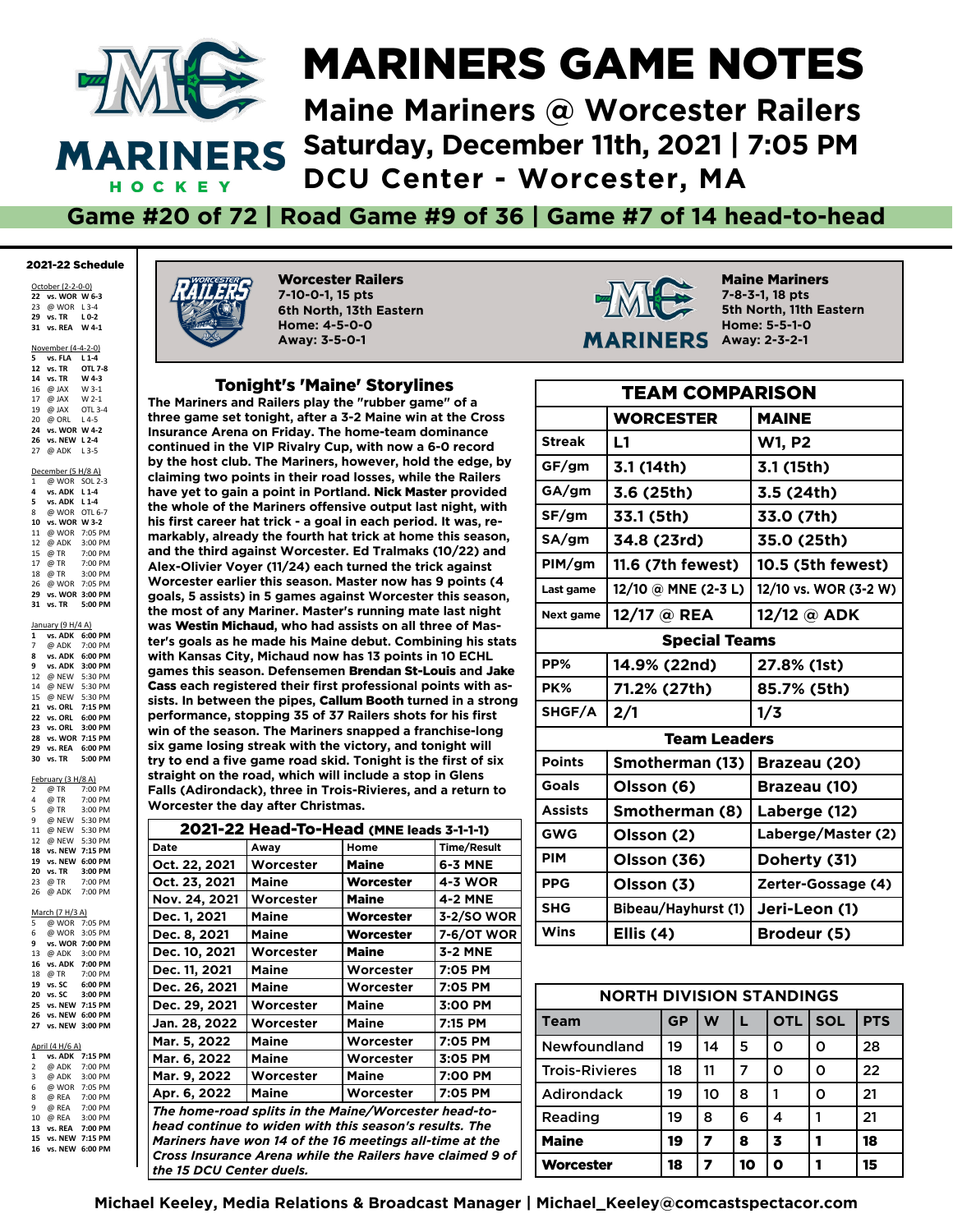

## MARINERS GAME NOTES

**Maine Mariners @ Worcester Railers Saturday, December 11th, 2021 | 7:05 PM DCU Center - Worcester, MA**

**Game #20 of 72 | Road Game #9 of 36 | Game #7 of 14 head-to-head**

#### 2021-22 Schedule

October (2-2-0-0) **vs. WOR W 6-3** @ WOR L 3-4 **vs. TR L 0-2 31 vs. REA W 4-1**

November (4-4-2-0)

|    | 5 vs. FLA L 1-4    |  |
|----|--------------------|--|
|    | 12 vs. TR OTL 7-8  |  |
|    | 14 vs. TR W 4-3    |  |
|    | 16 @ JAX W 3-1     |  |
|    | 17 @ JAX W 2-1     |  |
|    | 19 @ JAX OTL 3-4   |  |
|    | 20 @ ORL L4-5      |  |
| 24 | vs. WOR W 4-2      |  |
| 26 | vs. NEW L 2-4      |  |
| 27 | @ ADK L3-5         |  |
|    |                    |  |
|    | December (5 H/8 A) |  |
|    | 1 @ WOR SOL 2-3    |  |
|    | 4 vs. ADK L 1-4    |  |
|    | 5 vs. ADK L 1-4    |  |
|    | 8 @ WOR OTL 6-7    |  |
|    | 10 vs. WOR W 3-2   |  |
|    | 11 @ WOR 7:05 PM   |  |
|    | 12 @ ADK 3:00 PM   |  |
|    | 15 @ TR 7:00 PM    |  |
|    | 17 @ TR 7:00 PM    |  |
|    | 18 @ TR 3:00 PM    |  |
|    | 26 @ WOR 7:05 PM   |  |
| 29 | vs. WOR 3:00 PM    |  |
| 31 | vs. TR 5:00 PM     |  |

| January (9 H/4 A) |                 |         |  |  |  |
|-------------------|-----------------|---------|--|--|--|
| $\mathbf{1}$      | vs. ADK         | 6:00 PM |  |  |  |
| 7                 | @ ADK 7:00 PM   |         |  |  |  |
| 8                 | vs. ADK 6:00 PM |         |  |  |  |
| 9                 | vs. ADK         | 3:00 PM |  |  |  |
| 12                | @ NEW           | 5:30 PM |  |  |  |
| 14                | @ NEW           | 5:30 PM |  |  |  |
| 15                | @ NEW           | 5:30 PM |  |  |  |
| 21                | vs. ORL 7:15 PM |         |  |  |  |
| 22                | vs. ORL         | 6:00 PM |  |  |  |
| 23                | vs. ORL         | 3:00 PM |  |  |  |
| 28                | vs. WOR 7:15 PM |         |  |  |  |
| 29                | vs. REA         | 6:00 PM |  |  |  |
| 30                | vs. TR 5:00 PM  |         |  |  |  |

February (3 H/8 A)

|                         | $1$ cordary (3 H/O $\sim$      |                 |
|-------------------------|--------------------------------|-----------------|
|                         |                                |                 |
|                         | 2 @TR 7:00 PM<br>4 @TR 7:00 PM |                 |
|                         | 5 @ TR 3:00 PM                 |                 |
| 9                       | @ NEW 5:30 PM                  |                 |
|                         | 11 @ NEW 5:30 PM               |                 |
|                         | 12 @ NEW 5:30 PM               |                 |
| 18                      | vs. NEW 7:15 PM                |                 |
| 19                      |                                | vs. NEW 6:00 PM |
| 20                      | vs. TR                         | 3:00 PM         |
| 23                      | @ TR                           | 7:00 PM         |
| 26                      |                                | @ ADK 7:00 PM   |
|                         |                                |                 |
|                         | March (7 H/3 A)                |                 |
| 5                       | @ WOR 7:05 PM                  |                 |
|                         | 6 @ WOR 3:05 PM                |                 |
| 9                       | vs. WOR 7:00 PM                |                 |
|                         | 13 @ ADK 3:00 PM               |                 |
|                         | 16 vs. ADK 7:00 PM             |                 |
|                         | 18 @ TR 7:00 PM                |                 |
|                         | 19 vs. SC 6:00 PM              |                 |
| 20                      | vs. SC 3:00 PM                 |                 |
| 25                      | vs. NEW 7:15 PM                |                 |
| 26                      |                                | vs. NEW 6:00 PM |
| 27                      |                                | vs. NEW 3:00 PM |
|                         |                                |                 |
|                         | April (4 H/6 A)                |                 |
| $\mathbf{1}$            | vs. ADK                        | 7:15 PM         |
| $\overline{2}$          | @ ADK 7:00 PM                  |                 |
| $\overline{\mathbf{3}}$ | @ ADK                          | 3:00 PM         |
|                         | 6 @ WOR 7:05 PM                |                 |
|                         | 8 @ REA 7:00 PM                |                 |
| 9                       | @ REA 7:00 PM                  |                 |
| 10                      | @ REA                          | 3:00 PM         |

**13 vs. REA 7:00 PM 15 vs. NEW 7:15 PM 16 vs. NEW 6:00 PM**



Worcester Railers **7-10-0-1, 15 pts 6th North, 13th Eastern Home: 4-5-0-0 Away: 3-5-0-1**

#### Tonight's 'Maine' Storylines

**The Mariners and Railers play the "rubber game" of a three game set tonight, after a 3-2 Maine win at the Cross Insurance Arena on Friday. The home-team dominance continued in the VIP Rivalry Cup, with now a 6-0 record by the host club. The Mariners, however, hold the edge, by claiming two points in their road losses, while the Railers have yet to gain a point in Portland.** Nick Master **provided the whole of the Mariners offensive output last night, with his frst career hat trick - a goal in each period. It was, remarkably, already the fourth hat trick at home this season, and the third against Worcester. Ed Tralmaks (10/22) and Alex-Olivier Voyer (11/24) each turned the trick against Worcester earlier this season. Master now has 9 points (4 goals, 5 assists) in 5 games against Worcester this season, the most of any Mariner. Master's running mate last night was** Westin Michaud**, who had assists on all three of Master's goals as he made his Maine debut. Combining his stats with Kansas City, Michaud now has 13 points in 10 ECHL games this season. Defensemen** Brendan St-Louis **and** Jake Cass **each registered their frst professional points with assists. In between the pipes,** Callum Booth **turned in a strong**  performance, stopping 35 of 37 Railers shots for his first **win of the season. The Mariners snapped a franchise-long six game losing streak with the victory, and tonight will**  try to end a five game road skid. Tonight is the first of six **straight on the road, which will include a stop in Glens Falls (Adirondack), three in Trois-Rivieres, and a return to Worcester the day after Christmas.**

| 2021-22 Head-To-Head (MNE leads 3-1-1-1)                  |              |              |                    |  |  |
|-----------------------------------------------------------|--------------|--------------|--------------------|--|--|
| Date                                                      | Away         | Home         | <b>Time/Result</b> |  |  |
| Oct. 22, 2021                                             | Worcester    | <b>Maine</b> | 6-3 MNE            |  |  |
| Oct. 23, 2021                                             | Maine        | Worcester    | 4-3 WOR            |  |  |
| Nov. 24, 2021                                             | Worcester    | <b>Maine</b> | <b>4-2 MNE</b>     |  |  |
| Dec. 1, 2021                                              | Maine        | Worcester    | 3-2/SO WOR         |  |  |
| Dec. 8, 2021                                              | Maine        | Worcester    | 7-6/OT WOR         |  |  |
| Dec. 10, 2021                                             | Worcester    | <b>Maine</b> | 3-2 MNE            |  |  |
| Dec. 11, 2021                                             | Maine        | Worcester    | 7:05 PM            |  |  |
| Dec. 26, 2021                                             | Maine        | Worcester    | 7:05 PM            |  |  |
| Dec. 29, 2021                                             | Worcester    | Maine        | 3:00 PM            |  |  |
| Jan. 28, 2022                                             | Worcester    | <b>Maine</b> | 7:15 PM            |  |  |
| Mar. 5, 2022                                              | Maine        | Worcester    | 7:05 PM            |  |  |
| Mar. 6, 2022                                              | <b>Maine</b> | Worcester    | 3:05 PM            |  |  |
| Mar. 9, 2022                                              | Worcester    | <b>Maine</b> | 7:00 PM            |  |  |
| Apr. 6, 2022                                              | <b>Maine</b> | Worcester    | 7:05 PM            |  |  |
| The home-road splits in the Maine/Worcester head-to-      |              |              |                    |  |  |
| head continue to widen with this season's results. The    |              |              |                    |  |  |
| Mariners have won 14 of the 16 meetings all-time at the   |              |              |                    |  |  |
| Cross Insurance Arena while the Railers have claimed 9 of |              |              |                    |  |  |
| the 15 DCU Center duels.                                  |              |              |                    |  |  |



Maine Mariners **7-8-3-1, 18 pts 5th North, 11th Eastern Home: 5-5-1-0 Away: 2-3-2-1**

| <b>TEAM COMPARISON</b> |                      |                       |  |  |
|------------------------|----------------------|-----------------------|--|--|
|                        | <b>WORCESTER</b>     | <b>MAINE</b>          |  |  |
| <b>Streak</b>          | L1                   | <b>W1, P2</b>         |  |  |
| GF/gm                  | 3.1 (14th)           | 3.1 (15th)            |  |  |
| GA/gm                  | 3.6 (25th)           | 3.5 (24th)            |  |  |
| SF/gm                  | 33.1 (5th)           | 33.0 (7th)            |  |  |
| SA/gm                  | 34.8 (23rd)          | 35.0 (25th)           |  |  |
| PIM/gm                 | 11.6 (7th fewest)    | 10.5 (5th fewest)     |  |  |
| Last game              | 12/10 @ MNE (2-3 L)  | 12/10 vs. WOR (3-2 W) |  |  |
| Next game              | 12/17 @ REA          | 12/12 @ $ADK$         |  |  |
|                        | <b>Special Teams</b> |                       |  |  |
| PP%                    | 14.9% (22nd)         | 27.8% (1st)           |  |  |
| PK%                    | 71.2% (27th)         | 85.7% (5th)           |  |  |
| SHGF/A                 | 2/1                  | 1/3                   |  |  |
|                        | <b>Team Leaders</b>  |                       |  |  |
| <b>Points</b>          | Smotherman (13)      | Brazeau (20)          |  |  |
| Goals                  | Olsson (6)           | Brazeau (10)          |  |  |
| <b>Assists</b>         | Smotherman (8)       | Laberge (12)          |  |  |
| <b>GWG</b>             | Olsson (2)           | Laberge/Master (2)    |  |  |
| <b>PIM</b>             | Olsson (36)          | Doherty (31)          |  |  |
| <b>PPG</b>             | Olsson (3)           | Zerter-Gossage (4)    |  |  |
| <b>SHG</b>             | Bibeau/Hayhurst (1)  | Jeri-Leon (1)         |  |  |
| Wins                   | Ellis $(4)$          | Brodeur (5)           |  |  |

| <b>NORTH DIVISION STANDINGS</b>         |    |    |    |            |            |            |
|-----------------------------------------|----|----|----|------------|------------|------------|
| Team                                    | GP | W  |    | <b>OTL</b> | <b>SOL</b> | <b>PTS</b> |
| Newfoundland                            | 19 | 14 | 5  | Ω          | Ο          | 28         |
| <b>Trois-Rivieres</b>                   | 18 | 11 | 7  | Ω          | Ο          | 22         |
| <b>Adirondack</b>                       | 19 | 10 | 8  |            | ი          | 21         |
| Reading                                 | 19 | 8  | 6  | 4          |            | 21         |
| <b>Maine</b><br>8<br>19<br>3<br>7<br>18 |    |    |    |            |            |            |
| Worcester                               | 18 |    | 10 |            |            | 15         |

**Michael Keeley, Media Relations & Broadcast Manager | Michael\_Keeley@comcastspectacor.com**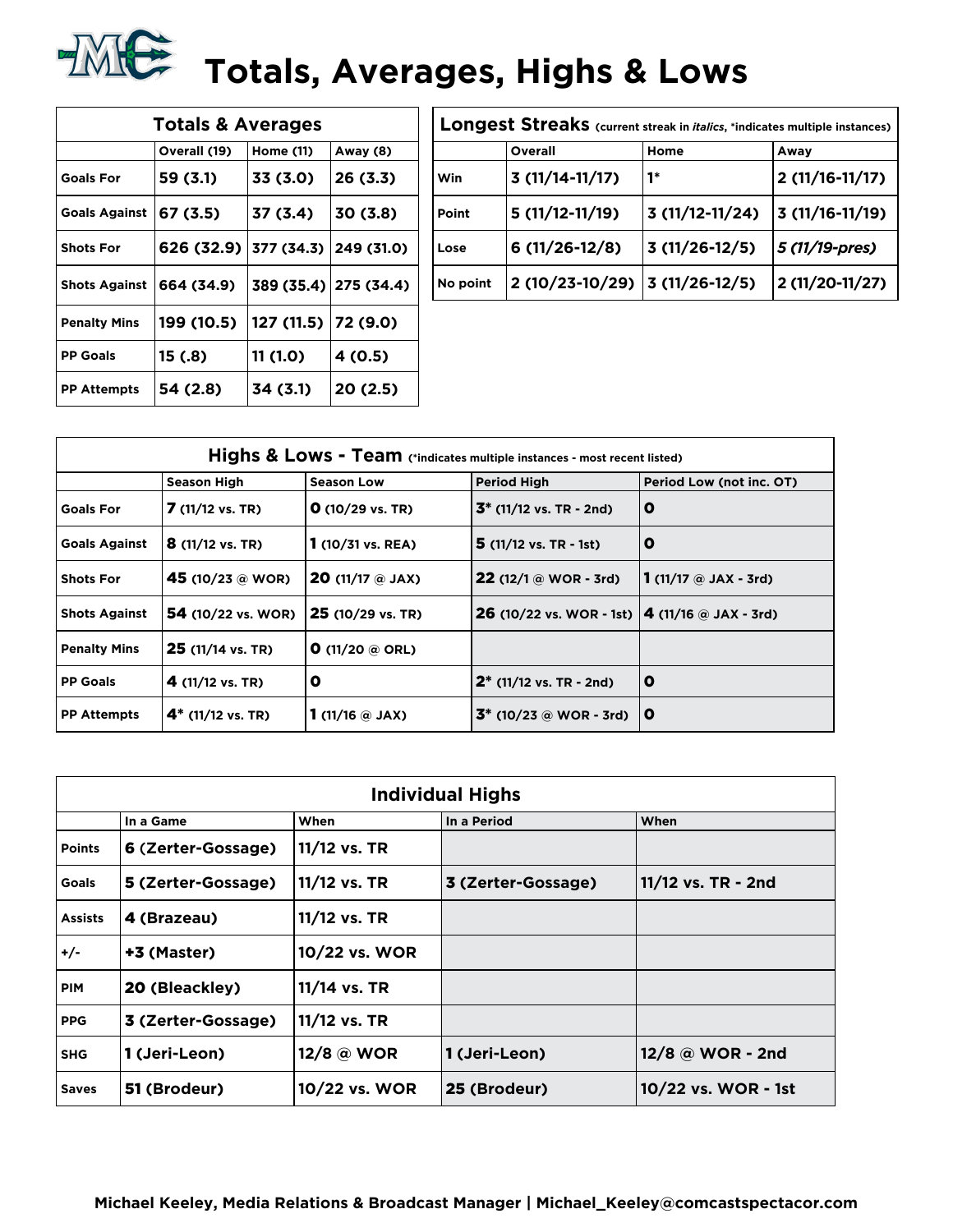

| <b>Totals &amp; Averages</b> |              |            |                       |  |  |  |
|------------------------------|--------------|------------|-----------------------|--|--|--|
|                              | Overall (19) | Home (11)  | Away (8)              |  |  |  |
| <b>Goals For</b>             | 59 (3.1)     | 33 (3.0)   | 26 (3.3)              |  |  |  |
| <b>Goals Against</b>         | 67 (3.5)     | 37 (3.4)   | 30 (3.8)              |  |  |  |
| <b>Shots For</b>             | 626 (32.9)   | 377 (34.3) | 249 (31.0)            |  |  |  |
| <b>Shots Against</b>         | 664 (34.9)   |            | 389 (35.4) 275 (34.4) |  |  |  |
| <b>Penalty Mins</b>          | 199 (10.5)   | 127 (11.5) | 72 (9.0)              |  |  |  |
| <b>PP Goals</b>              | 15 (.8)      | 11 (1.0)   | 4 (0.5)               |  |  |  |
| <b>PP Attempts</b>           | 54 (2.8)     | 34 (3.1)   | 20 (2.5)              |  |  |  |

| Longest Streaks (current streak in <i>italics</i> , *indicates multiple instances) |                                 |                  |                  |  |  |
|------------------------------------------------------------------------------------|---------------------------------|------------------|------------------|--|--|
|                                                                                    | Overall                         | Home             | Away             |  |  |
| Win                                                                                | $3(11/14-11/17)$                | 1*               | $2(11/16-11/17)$ |  |  |
| Point                                                                              | $5(11/12-11/19)$                | $3(11/12-11/24)$ | $3(11/16-11/19)$ |  |  |
| Lose                                                                               | $6(11/26-12/8)$                 | $3(11/26-12/5)$  | 5 (11/19-pres)   |  |  |
| No point                                                                           | $2(10/23-10/29)$ 3 (11/26-12/5) |                  | 2 (11/20-11/27)  |  |  |

| Highs & Lows - Team (*indicates multiple instances - most recent listed) |                            |                                      |                                                           |                                                 |  |
|--------------------------------------------------------------------------|----------------------------|--------------------------------------|-----------------------------------------------------------|-------------------------------------------------|--|
|                                                                          | <b>Season High</b>         | <b>Season Low</b>                    | <b>Period High</b>                                        | Period Low (not inc. OT)                        |  |
| <b>Goals For</b>                                                         | $7(11/12 \text{ vs. TR})$  | $O(10/29 \text{ vs. TR})$            | $3^*$ (11/12 vs. TR - 2nd)                                | o                                               |  |
| <b>Goals Against</b>                                                     | $8(11/12 \text{ vs. TR})$  | $1(10/31 \text{ vs. } REA)$          | $5(11/12 \text{ vs. TR } -1st)$                           | o                                               |  |
| <b>Shots For</b>                                                         | 45 (10/23 @ WOR)           | <b>20</b> (11/17 $\circledcirc$ JAX) | <b>22</b> (12/1 $\omega$ WOR - 3rd)                       | 1 $(11/17 \; \text{\textcircled{a}}$ JAX - 3rd) |  |
| <b>Shots Against</b>                                                     | <b>54</b> (10/22 vs. WOR)  | 25 (10/29 vs. TR)                    | <b>26</b> (10/22 vs. WOR - 1st) $ 4 (11/16)$ a JAX - 3rd) |                                                 |  |
| <b>Penalty Mins</b>                                                      | $25$ (11/14 vs. TR)        | <b>O</b> (11/20 @ ORL)               |                                                           |                                                 |  |
| <b>PP Goals</b>                                                          | 4 $(11/12 \text{ vs. TR})$ | O                                    | $2^*$ (11/12 vs. TR - 2nd)                                | O                                               |  |
| <b>PP Attempts</b>                                                       | $4^*$ (11/12 vs. TR)       | 1 $(11/16)$ $\odot$ JAX)             | $3^*$ (10/23 @ WOR - 3rd)                                 | $\mathbf o$                                     |  |

| <b>Individual Highs</b> |                    |                |                    |                     |  |
|-------------------------|--------------------|----------------|--------------------|---------------------|--|
|                         | In a Game          | When           | In a Period        | When                |  |
| <b>Points</b>           | 6 (Zerter-Gossage) | 11/12 vs. TR   |                    |                     |  |
| Goals                   | 5 (Zerter-Gossage) | $11/12$ vs. TR | 3 (Zerter-Gossage) | 11/12 vs. TR - 2nd  |  |
| <b>Assists</b>          | 4 (Brazeau)        | 11/12 vs. TR   |                    |                     |  |
| $+/-$                   | +3 (Master)        | 10/22 vs. WOR  |                    |                     |  |
| <b>PIM</b>              | 20 (Bleackley)     | 11/14 vs. TR   |                    |                     |  |
| <b>PPG</b>              | 3 (Zerter-Gossage) | 11/12 vs. TR   |                    |                     |  |
| <b>SHG</b>              | 1 (Jeri-Leon)      | 12/8 @ WOR     | 1 (Jeri-Leon)      | 12/8 @ WOR - 2nd    |  |
| <b>Saves</b>            | 51 (Brodeur)       | 10/22 vs. WOR  | 25 (Brodeur)       | 10/22 vs. WOR - 1st |  |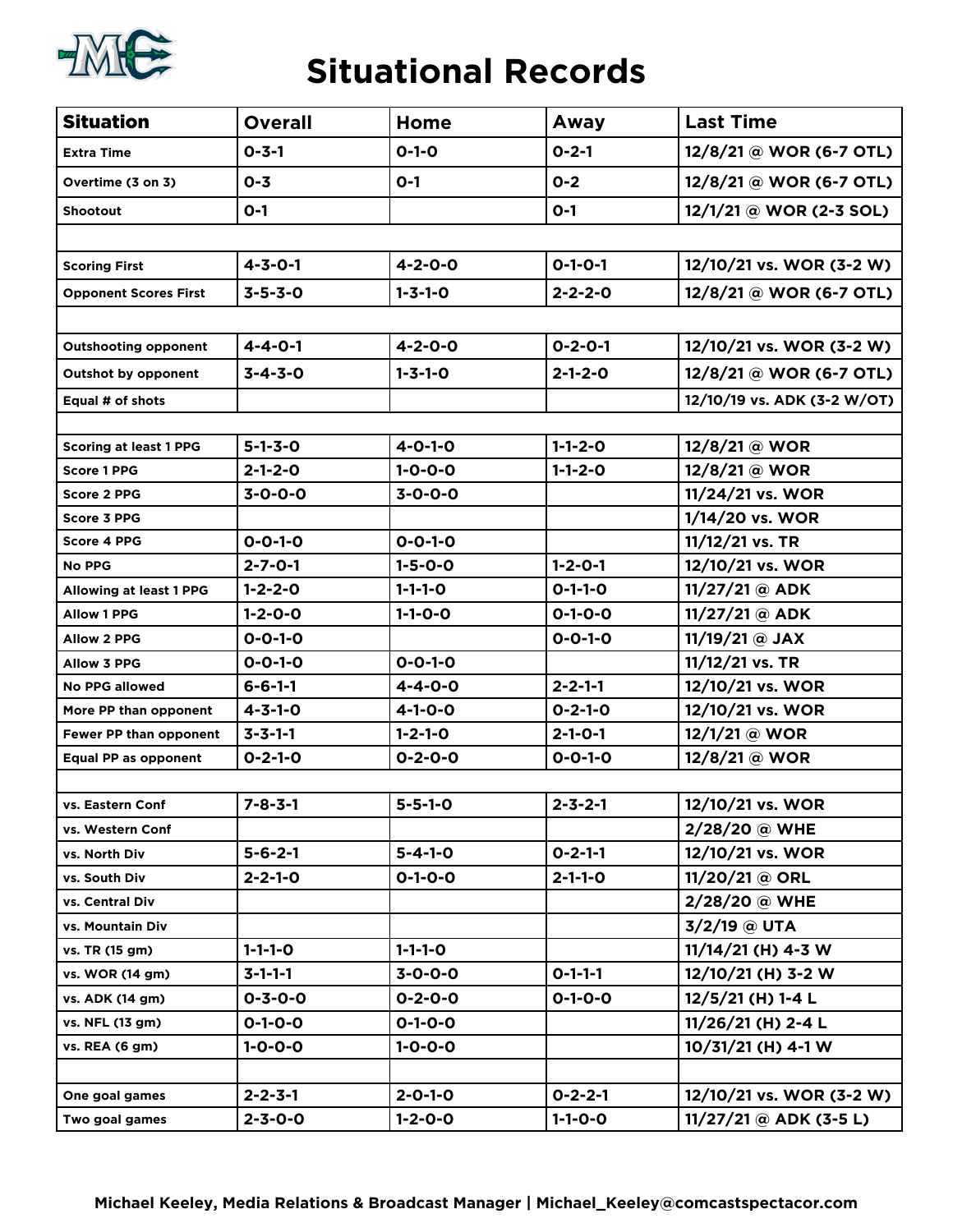

### **Situational Records**

| <b>Situation</b>              | <b>Overall</b>  | Home            | Away            | <b>Last Time</b>            |
|-------------------------------|-----------------|-----------------|-----------------|-----------------------------|
| <b>Extra Time</b>             | $0 - 3 - 1$     | $0 - 1 - 0$     | $0 - 2 - 1$     | 12/8/21 @ WOR (6-7 OTL)     |
| Overtime (3 on 3)             | $0 - 3$         | $O-1$           | $0 - 2$         | 12/8/21 @ WOR (6-7 OTL)     |
| <b>Shootout</b>               | $O-1$           |                 | $O-1$           | 12/1/21 @ WOR (2-3 SOL)     |
|                               |                 |                 |                 |                             |
| <b>Scoring First</b>          | $4 - 3 - 0 - 1$ | $4 - 2 - 0 - 0$ | $O-1-O-1$       | 12/10/21 vs. WOR (3-2 W)    |
| <b>Opponent Scores First</b>  | $3 - 5 - 3 - 0$ | $1 - 3 - 1 - 0$ | $2 - 2 - 2 - 0$ | 12/8/21 @ WOR (6-7 OTL)     |
|                               |                 |                 |                 |                             |
| <b>Outshooting opponent</b>   | $4 - 4 - 0 - 1$ | $4 - 2 - 0 - 0$ | $0 - 2 - 0 - 1$ | 12/10/21 vs. WOR (3-2 W)    |
| <b>Outshot by opponent</b>    | $3 - 4 - 3 - 0$ | $1 - 3 - 1 - 0$ | $2 - 1 - 2 - 0$ | 12/8/21 @ WOR (6-7 OTL)     |
| Equal # of shots              |                 |                 |                 | 12/10/19 vs. ADK (3-2 W/OT) |
|                               |                 |                 |                 |                             |
| <b>Scoring at least 1 PPG</b> | $5 - 1 - 3 - 0$ | $4 - 0 - 1 - 0$ | $1 - 1 - 2 - 0$ | 12/8/21 @ WOR               |
| <b>Score 1 PPG</b>            | $2 - 1 - 2 - 0$ | $1 - 0 - 0 - 0$ | $1 - 1 - 2 - 0$ | 12/8/21 @ WOR               |
| <b>Score 2 PPG</b>            | $3 - 0 - 0 - 0$ | $3 - 0 - 0 - 0$ |                 | 11/24/21 vs. WOR            |
| <b>Score 3 PPG</b>            |                 |                 |                 | 1/14/20 vs. WOR             |
| <b>Score 4 PPG</b>            | $0 - 0 - 1 - 0$ | $0 - 0 - 1 - 0$ |                 | 11/12/21 vs. TR             |
| <b>No PPG</b>                 | $2 - 7 - 0 - 1$ | $1 - 5 - 0 - 0$ | $1 - 2 - 0 - 1$ | 12/10/21 vs. WOR            |
| Allowing at least 1 PPG       | $1 - 2 - 2 - 0$ | $1 - 1 - 1 - 0$ | $0 - 1 - 1 - 0$ | 11/27/21 @ ADK              |
| <b>Allow 1 PPG</b>            | $1 - 2 - 0 - 0$ | $1 - 1 - 0 - 0$ | $0 - 1 - 0 - 0$ | $11/27/21$ @ ADK            |
| <b>Allow 2 PPG</b>            | $0 - 0 - 1 - 0$ |                 | $0 - 0 - 1 - 0$ | 11/19/21 @ JAX              |
| <b>Allow 3 PPG</b>            | $0 - 0 - 1 - 0$ | $0 - 0 - 1 - 0$ |                 | 11/12/21 vs. TR             |
| <b>No PPG allowed</b>         | $6 - 6 - 1 - 1$ | $4 - 4 - 0 - 0$ | $2 - 2 - 1 - 1$ | 12/10/21 vs. WOR            |
| More PP than opponent         | $4 - 3 - 1 - 0$ | $4 - 1 - 0 - 0$ | $0 - 2 - 1 - 0$ | 12/10/21 vs. WOR            |
| Fewer PP than opponent        | $3 - 3 - 1 - 1$ | $1 - 2 - 1 - 0$ | $2 - 1 - 0 - 1$ | 12/1/21 @ WOR               |
| <b>Equal PP as opponent</b>   | $0 - 2 - 1 - 0$ | $0 - 2 - 0 - 0$ | $0 - 0 - 1 - 0$ | 12/8/21 @ WOR               |
|                               |                 |                 |                 |                             |
| vs. Eastern Conf              | $7 - 8 - 3 - 1$ | $5 - 5 - 1 - 0$ | $2 - 3 - 2 - 1$ | 12/10/21 vs. WOR            |
| vs. Western Conf              |                 |                 |                 | 2/28/20 @ WHE               |
| vs. North Div                 | $5 - 6 - 2 - 1$ | $5 - 4 - 1 - 0$ | $0 - 2 - 1 - 1$ | 12/10/21 vs. WOR            |
| vs. South Div                 | $2 - 2 - 1 - 0$ | $0 - 1 - 0 - 0$ | $2 - 1 - 1 - 0$ | 11/20/21 @ ORL              |
| vs. Central Div               |                 |                 |                 | 2/28/20 @ WHE               |
| vs. Mountain Div              |                 |                 |                 | 3/2/19 @ UTA                |
| vs. TR (15 gm)                | $1 - 1 - 1 - 0$ | $1 - 1 - 1 - 0$ |                 | 11/14/21 (H) 4-3 W          |
| vs. WOR (14 gm)               | $3 - 1 - 1 - 1$ | $3 - 0 - 0 - 0$ | $0 - 1 - 1 - 1$ | 12/10/21 (H) 3-2 W          |
| vs. ADK (14 gm)               | $0 - 3 - 0 - 0$ | $0 - 2 - 0 - 0$ | $0 - 1 - 0 - 0$ | 12/5/21 (H) 1-4 L           |
| vs. NFL (13 gm)               | $0 - 1 - 0 - 0$ | $0 - 1 - 0 - 0$ |                 | 11/26/21 (H) 2-4 L          |
| vs. REA (6 gm)                | $1 - 0 - 0 - 0$ | $1 - 0 - 0 - 0$ |                 | 10/31/21 (H) 4-1 W          |
|                               |                 |                 |                 |                             |
| One goal games                | $2 - 2 - 3 - 1$ | $2 - 0 - 1 - 0$ | $0 - 2 - 2 - 1$ | 12/10/21 vs. WOR (3-2 W)    |
| Two goal games                | $2 - 3 - 0 - 0$ | $1 - 2 - 0 - 0$ | $1 - 1 - 0 - 0$ | $11/27/21 @$ ADK (3-5 L)    |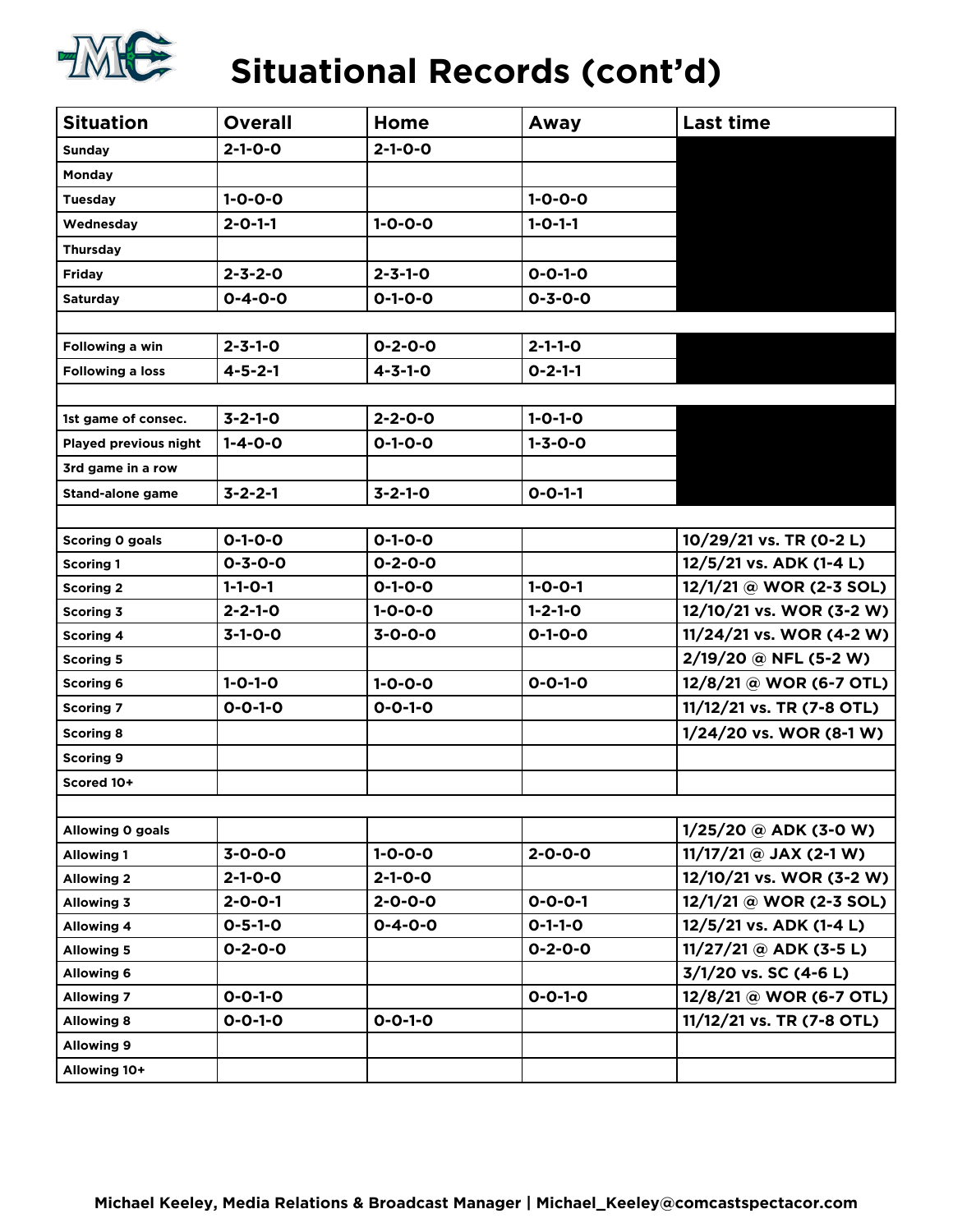

# **Situational Records (cont'd)**

| <b>Situation</b>        | <b>Overall</b>  | Home            | Away            | <b>Last time</b>          |
|-------------------------|-----------------|-----------------|-----------------|---------------------------|
| <b>Sunday</b>           | $2 - 1 - 0 - 0$ | $2 - 1 - 0 - 0$ |                 |                           |
| Monday                  |                 |                 |                 |                           |
| <b>Tuesday</b>          | $1 - 0 - 0 - 0$ |                 | $1 - 0 - 0 - 0$ |                           |
| Wednesday               | $2 - 0 - 1 - 1$ | $1 - 0 - 0 - 0$ | $1 - 0 - 1 - 1$ |                           |
| <b>Thursday</b>         |                 |                 |                 |                           |
| <b>Friday</b>           | $2 - 3 - 2 - 0$ | $2 - 3 - 1 - 0$ | $0 - 0 - 1 - 0$ |                           |
| <b>Saturday</b>         | $0 - 4 - 0 - 0$ | $0 - 1 - 0 - 0$ | $0 - 3 - 0 - 0$ |                           |
|                         |                 |                 |                 |                           |
| Following a win         | $2 - 3 - 1 - 0$ | $0 - 2 - 0 - 0$ | $2 - 1 - 1 - 0$ |                           |
| <b>Following a loss</b> | $4 - 5 - 2 - 1$ | $4 - 3 - 1 - 0$ | $0 - 2 - 1 - 1$ |                           |
|                         |                 |                 |                 |                           |
| 1st game of consec.     | $3 - 2 - 1 - 0$ | $2 - 2 - 0 - 0$ | $1 - 0 - 1 - 0$ |                           |
| Played previous night   | $1 - 4 - 0 - 0$ | $0 - 1 - 0 - 0$ | $1 - 3 - 0 - 0$ |                           |
| 3rd game in a row       |                 |                 |                 |                           |
| <b>Stand-alone game</b> | $3 - 2 - 2 - 1$ | $3 - 2 - 1 - 0$ | $0 - 0 - 1 - 1$ |                           |
|                         |                 |                 |                 |                           |
| Scoring 0 goals         | $0 - 1 - 0 - 0$ | $0 - 1 - 0 - 0$ |                 | 10/29/21 vs. TR (0-2 L)   |
| <b>Scoring 1</b>        | $0 - 3 - 0 - 0$ | $0 - 2 - 0 - 0$ |                 | 12/5/21 vs. ADK (1-4 L)   |
| <b>Scoring 2</b>        | $1 - 1 - 0 - 1$ | $0 - 1 - 0 - 0$ | $1 - 0 - 0 - 1$ | 12/1/21 @ WOR (2-3 SOL)   |
| Scoring 3               | $2 - 2 - 1 - 0$ | $1 - 0 - 0 - 0$ | $1 - 2 - 1 - 0$ | 12/10/21 vs. WOR (3-2 W)  |
| <b>Scoring 4</b>        | $3-1-0-0$       | $3 - 0 - 0 - 0$ | $0 - 1 - 0 - 0$ | 11/24/21 vs. WOR (4-2 W)  |
| <b>Scoring 5</b>        |                 |                 |                 | 2/19/20 @ NFL (5-2 W)     |
| <b>Scoring 6</b>        | $1 - 0 - 1 - 0$ | $1 - 0 - 0 - 0$ | $0 - 0 - 1 - 0$ | 12/8/21 @ WOR (6-7 OTL)   |
| <b>Scoring 7</b>        | $0 - 0 - 1 - 0$ | $0 - 0 - 1 - 0$ |                 | 11/12/21 vs. TR (7-8 OTL) |
| <b>Scoring 8</b>        |                 |                 |                 | 1/24/20 vs. WOR (8-1 W)   |
| <b>Scoring 9</b>        |                 |                 |                 |                           |
| Scored 10+              |                 |                 |                 |                           |
|                         |                 |                 |                 |                           |
| Allowing 0 goals        |                 |                 |                 | $1/25/20$ @ ADK (3-0 W)   |
| <b>Allowing 1</b>       | $3 - 0 - 0 - 0$ | $1 - 0 - 0 - 0$ | $2 - 0 - 0 - 0$ | $11/17/21$ @ JAX (2-1 W)  |
| <b>Allowing 2</b>       | $2 - 1 - 0 - 0$ | $2 - 1 - 0 - 0$ |                 | 12/10/21 vs. WOR (3-2 W)  |
| <b>Allowing 3</b>       | $2 - 0 - 0 - 1$ | $2 - 0 - 0 - 0$ | $0 - 0 - 0 - 1$ | 12/1/21 @ WOR (2-3 SOL)   |
| <b>Allowing 4</b>       | $0 - 5 - 1 - 0$ | $0 - 4 - 0 - 0$ | $0-1-1-0$       | 12/5/21 vs. ADK (1-4 L)   |
| <b>Allowing 5</b>       | $0 - 2 - 0 - 0$ |                 | $0 - 2 - 0 - 0$ | $11/27/21$ @ ADK (3-5 L)  |
| <b>Allowing 6</b>       |                 |                 |                 | 3/1/20 vs. SC (4-6 L)     |
| <b>Allowing 7</b>       | $0 - 0 - 1 - 0$ |                 | $0 - 0 - 1 - 0$ | 12/8/21 @ WOR (6-7 OTL)   |
| <b>Allowing 8</b>       | $0 - 0 - 1 - 0$ | $0 - 0 - 1 - 0$ |                 | 11/12/21 vs. TR (7-8 OTL) |
| <b>Allowing 9</b>       |                 |                 |                 |                           |
| Allowing 10+            |                 |                 |                 |                           |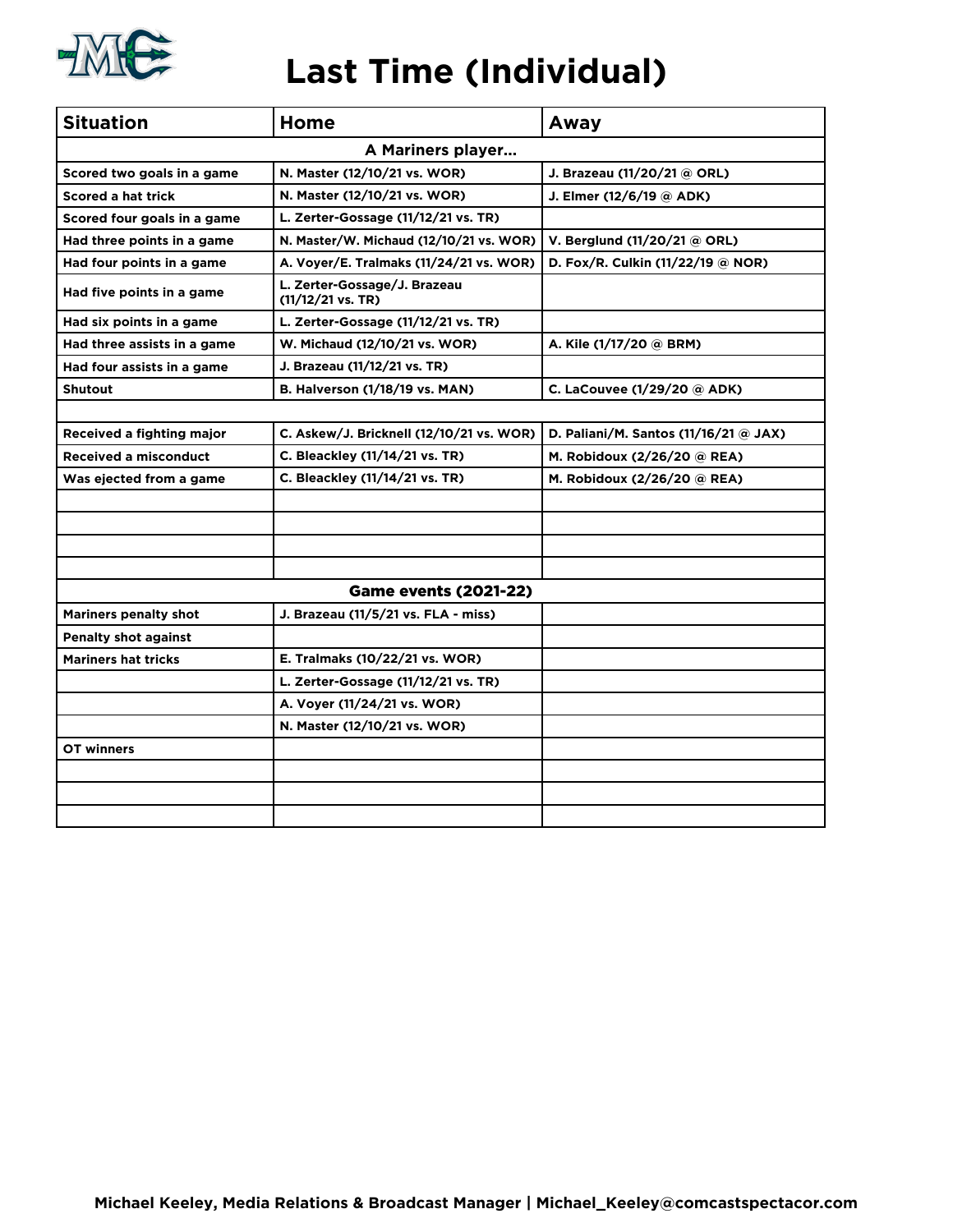

## **Last Time (Individual)**

| <b>Situation</b>             | Home                                                | Away                                             |  |  |  |  |  |  |  |  |
|------------------------------|-----------------------------------------------------|--------------------------------------------------|--|--|--|--|--|--|--|--|
| A Mariners player            |                                                     |                                                  |  |  |  |  |  |  |  |  |
| Scored two goals in a game   | N. Master (12/10/21 vs. WOR)                        | J. Brazeau (11/20/21 @ ORL)                      |  |  |  |  |  |  |  |  |
| <b>Scored a hat trick</b>    | N. Master (12/10/21 vs. WOR)                        | J. Elmer (12/6/19 @ ADK)                         |  |  |  |  |  |  |  |  |
| Scored four goals in a game  | L. Zerter-Gossage (11/12/21 vs. TR)                 |                                                  |  |  |  |  |  |  |  |  |
| Had three points in a game   | N. Master/W. Michaud (12/10/21 vs. WOR)             | V. Berglund (11/20/21 @ ORL)                     |  |  |  |  |  |  |  |  |
| Had four points in a game    | A. Voyer/E. Tralmaks (11/24/21 vs. WOR)             | D. Fox/R. Culkin (11/22/19 @ NOR)                |  |  |  |  |  |  |  |  |
| Had five points in a game    | L. Zerter-Gossage/J. Brazeau<br>$(11/12/21$ vs. TR) |                                                  |  |  |  |  |  |  |  |  |
| Had six points in a game     | L. Zerter-Gossage (11/12/21 vs. TR)                 |                                                  |  |  |  |  |  |  |  |  |
| Had three assists in a game  | W. Michaud (12/10/21 vs. WOR)                       | A. Kile (1/17/20 @ BRM)                          |  |  |  |  |  |  |  |  |
| Had four assists in a game   | J. Brazeau (11/12/21 vs. TR)                        |                                                  |  |  |  |  |  |  |  |  |
| <b>Shutout</b>               | <b>B. Halverson (1/18/19 vs. MAN)</b>               | C. LaCouvee (1/29/20 @ ADK)                      |  |  |  |  |  |  |  |  |
|                              |                                                     |                                                  |  |  |  |  |  |  |  |  |
| Received a fighting major    | C. Askew/J. Bricknell (12/10/21 vs. WOR)            | D. Paliani/M. Santos $(11/16/21 \text{ @ } JAX)$ |  |  |  |  |  |  |  |  |
| <b>Received a misconduct</b> | C. Bleackley (11/14/21 vs. TR)                      | M. Robidoux (2/26/20 @ REA)                      |  |  |  |  |  |  |  |  |
| Was ejected from a game      | C. Bleackley (11/14/21 vs. TR)                      | M. Robidoux (2/26/20 @ REA)                      |  |  |  |  |  |  |  |  |
|                              |                                                     |                                                  |  |  |  |  |  |  |  |  |
|                              |                                                     |                                                  |  |  |  |  |  |  |  |  |
|                              |                                                     |                                                  |  |  |  |  |  |  |  |  |
|                              |                                                     |                                                  |  |  |  |  |  |  |  |  |
|                              | <b>Game events (2021-22)</b>                        |                                                  |  |  |  |  |  |  |  |  |
| <b>Mariners penalty shot</b> | J. Brazeau (11/5/21 vs. FLA - miss)                 |                                                  |  |  |  |  |  |  |  |  |
| <b>Penalty shot against</b>  |                                                     |                                                  |  |  |  |  |  |  |  |  |
| <b>Mariners hat tricks</b>   | E. Tralmaks (10/22/21 vs. WOR)                      |                                                  |  |  |  |  |  |  |  |  |
|                              | L. Zerter-Gossage (11/12/21 vs. TR)                 |                                                  |  |  |  |  |  |  |  |  |
|                              | A. Voyer (11/24/21 vs. WOR)                         |                                                  |  |  |  |  |  |  |  |  |
|                              | N. Master (12/10/21 vs. WOR)                        |                                                  |  |  |  |  |  |  |  |  |
| OT winners                   |                                                     |                                                  |  |  |  |  |  |  |  |  |
|                              |                                                     |                                                  |  |  |  |  |  |  |  |  |
|                              |                                                     |                                                  |  |  |  |  |  |  |  |  |
|                              |                                                     |                                                  |  |  |  |  |  |  |  |  |